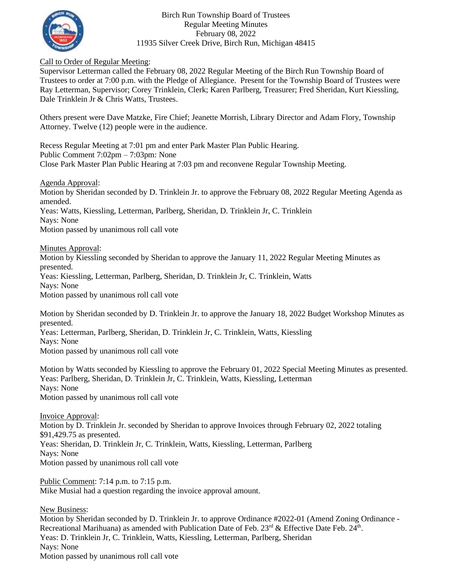

## Birch Run Township Board of Trustees Regular Meeting Minutes February 08, 2022 11935 Silver Creek Drive, Birch Run, Michigan 48415

## Call to Order of Regular Meeting:

Supervisor Letterman called the February 08, 2022 Regular Meeting of the Birch Run Township Board of Trustees to order at 7:00 p.m. with the Pledge of Allegiance. Present for the Township Board of Trustees were Ray Letterman, Supervisor; Corey Trinklein, Clerk; Karen Parlberg, Treasurer; Fred Sheridan, Kurt Kiessling, Dale Trinklein Jr & Chris Watts, Trustees.

Others present were Dave Matzke, Fire Chief; Jeanette Morrish, Library Director and Adam Flory, Township Attorney. Twelve (12) people were in the audience.

Recess Regular Meeting at 7:01 pm and enter Park Master Plan Public Hearing. Public Comment 7:02pm – 7:03pm: None Close Park Master Plan Public Hearing at 7:03 pm and reconvene Regular Township Meeting.

## Agenda Approval:

Motion by Sheridan seconded by D. Trinklein Jr. to approve the February 08, 2022 Regular Meeting Agenda as amended. Yeas: Watts, Kiessling, Letterman, Parlberg, Sheridan, D. Trinklein Jr, C. Trinklein Nays: None

Motion passed by unanimous roll call vote

Minutes Approval:

Motion by Kiessling seconded by Sheridan to approve the January 11, 2022 Regular Meeting Minutes as presented. Yeas: Kiessling, Letterman, Parlberg, Sheridan, D. Trinklein Jr, C. Trinklein, Watts Nays: None Motion passed by unanimous roll call vote

Motion by Sheridan seconded by D. Trinklein Jr. to approve the January 18, 2022 Budget Workshop Minutes as presented.

Yeas: Letterman, Parlberg, Sheridan, D. Trinklein Jr, C. Trinklein, Watts, Kiessling Nays: None

Motion passed by unanimous roll call vote

Motion by Watts seconded by Kiessling to approve the February 01, 2022 Special Meeting Minutes as presented. Yeas: Parlberg, Sheridan, D. Trinklein Jr, C. Trinklein, Watts, Kiessling, Letterman Nays: None Motion passed by unanimous roll call vote

Invoice Approval: Motion by D. Trinklein Jr. seconded by Sheridan to approve Invoices through February 02, 2022 totaling \$91,429.75 as presented. Yeas: Sheridan, D. Trinklein Jr, C. Trinklein, Watts, Kiessling, Letterman, Parlberg Nays: None Motion passed by unanimous roll call vote

Public Comment: 7:14 p.m. to 7:15 p.m. Mike Musial had a question regarding the invoice approval amount.

New Business:

Motion by Sheridan seconded by D. Trinklein Jr. to approve Ordinance #2022-01 (Amend Zoning Ordinance - Recreational Marihuana) as amended with Publication Date of Feb.  $23<sup>rd</sup>$  & Effective Date Feb.  $24<sup>th</sup>$ . Yeas: D. Trinklein Jr, C. Trinklein, Watts, Kiessling, Letterman, Parlberg, Sheridan Nays: None Motion passed by unanimous roll call vote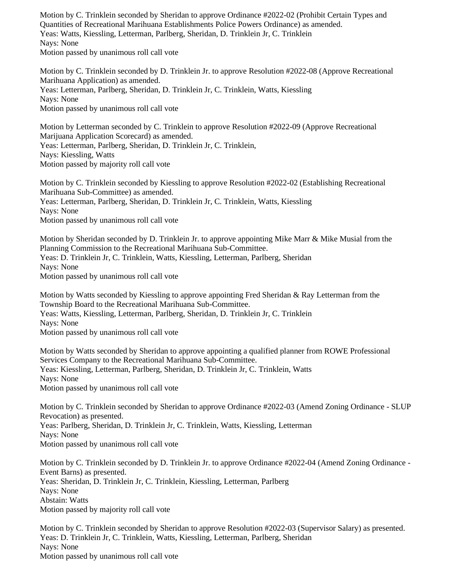Motion by C. Trinklein seconded by Sheridan to approve Ordinance #2022-02 (Prohibit Certain Types and Quantities of Recreational Marihuana Establishments Police Powers Ordinance) as amended. Yeas: Watts, Kiessling, Letterman, Parlberg, Sheridan, D. Trinklein Jr, C. Trinklein Nays: None Motion passed by unanimous roll call vote

Motion by C. Trinklein seconded by D. Trinklein Jr. to approve Resolution #2022-08 (Approve Recreational Marihuana Application) as amended. Yeas: Letterman, Parlberg, Sheridan, D. Trinklein Jr, C. Trinklein, Watts, Kiessling Nays: None Motion passed by unanimous roll call vote

Motion by Letterman seconded by C. Trinklein to approve Resolution #2022-09 (Approve Recreational Marijuana Application Scorecard) as amended. Yeas: Letterman, Parlberg, Sheridan, D. Trinklein Jr, C. Trinklein, Nays: Kiessling, Watts Motion passed by majority roll call vote

Motion by C. Trinklein seconded by Kiessling to approve Resolution #2022-02 (Establishing Recreational Marihuana Sub-Committee) as amended. Yeas: Letterman, Parlberg, Sheridan, D. Trinklein Jr, C. Trinklein, Watts, Kiessling Nays: None Motion passed by unanimous roll call vote

Motion by Sheridan seconded by D. Trinklein Jr. to approve appointing Mike Marr & Mike Musial from the Planning Commission to the Recreational Marihuana Sub-Committee. Yeas: D. Trinklein Jr, C. Trinklein, Watts, Kiessling, Letterman, Parlberg, Sheridan Nays: None Motion passed by unanimous roll call vote

Motion by Watts seconded by Kiessling to approve appointing Fred Sheridan & Ray Letterman from the Township Board to the Recreational Marihuana Sub-Committee. Yeas: Watts, Kiessling, Letterman, Parlberg, Sheridan, D. Trinklein Jr, C. Trinklein Nays: None Motion passed by unanimous roll call vote

Motion by Watts seconded by Sheridan to approve appointing a qualified planner from ROWE Professional Services Company to the Recreational Marihuana Sub-Committee. Yeas: Kiessling, Letterman, Parlberg, Sheridan, D. Trinklein Jr, C. Trinklein, Watts Nays: None

Motion passed by unanimous roll call vote

Motion by C. Trinklein seconded by Sheridan to approve Ordinance #2022-03 (Amend Zoning Ordinance - SLUP Revocation) as presented. Yeas: Parlberg, Sheridan, D. Trinklein Jr, C. Trinklein, Watts, Kiessling, Letterman Nays: None Motion passed by unanimous roll call vote

Motion by C. Trinklein seconded by D. Trinklein Jr. to approve Ordinance #2022-04 (Amend Zoning Ordinance - Event Barns) as presented. Yeas: Sheridan, D. Trinklein Jr, C. Trinklein, Kiessling, Letterman, Parlberg Nays: None Abstain: Watts Motion passed by majority roll call vote

Motion by C. Trinklein seconded by Sheridan to approve Resolution #2022-03 (Supervisor Salary) as presented. Yeas: D. Trinklein Jr, C. Trinklein, Watts, Kiessling, Letterman, Parlberg, Sheridan Nays: None Motion passed by unanimous roll call vote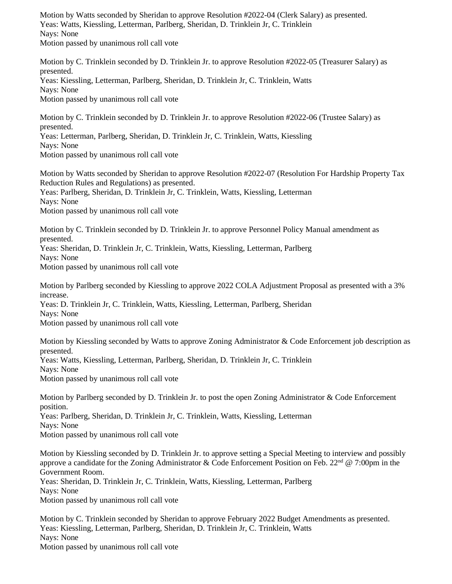Motion by Watts seconded by Sheridan to approve Resolution #2022-04 (Clerk Salary) as presented. Yeas: Watts, Kiessling, Letterman, Parlberg, Sheridan, D. Trinklein Jr, C. Trinklein Nays: None Motion passed by unanimous roll call vote

Motion by C. Trinklein seconded by D. Trinklein Jr. to approve Resolution #2022-05 (Treasurer Salary) as presented. Yeas: Kiessling, Letterman, Parlberg, Sheridan, D. Trinklein Jr, C. Trinklein, Watts Nays: None Motion passed by unanimous roll call vote

Motion by C. Trinklein seconded by D. Trinklein Jr. to approve Resolution #2022-06 (Trustee Salary) as presented.

Yeas: Letterman, Parlberg, Sheridan, D. Trinklein Jr, C. Trinklein, Watts, Kiessling Nays: None Motion passed by unanimous roll call vote

Motion by Watts seconded by Sheridan to approve Resolution #2022-07 (Resolution For Hardship Property Tax Reduction Rules and Regulations) as presented.

Yeas: Parlberg, Sheridan, D. Trinklein Jr, C. Trinklein, Watts, Kiessling, Letterman Nays: None Motion passed by unanimous roll call vote

Motion by C. Trinklein seconded by D. Trinklein Jr. to approve Personnel Policy Manual amendment as presented. Yeas: Sheridan, D. Trinklein Jr, C. Trinklein, Watts, Kiessling, Letterman, Parlberg Nays: None Motion passed by unanimous roll call vote

Motion by Parlberg seconded by Kiessling to approve 2022 COLA Adjustment Proposal as presented with a 3% increase.

Yeas: D. Trinklein Jr, C. Trinklein, Watts, Kiessling, Letterman, Parlberg, Sheridan Nays: None

Motion passed by unanimous roll call vote

Motion by Kiessling seconded by Watts to approve Zoning Administrator & Code Enforcement job description as presented. Yeas: Watts, Kiessling, Letterman, Parlberg, Sheridan, D. Trinklein Jr, C. Trinklein Nays: None

Motion passed by unanimous roll call vote

Motion by Parlberg seconded by D. Trinklein Jr. to post the open Zoning Administrator & Code Enforcement position. Yeas: Parlberg, Sheridan, D. Trinklein Jr, C. Trinklein, Watts, Kiessling, Letterman Nays: None

Motion passed by unanimous roll call vote

Motion by Kiessling seconded by D. Trinklein Jr. to approve setting a Special Meeting to interview and possibly approve a candidate for the Zoning Administrator & Code Enforcement Position on Feb. 22<sup>nd</sup> @ 7:00pm in the Government Room.

Yeas: Sheridan, D. Trinklein Jr, C. Trinklein, Watts, Kiessling, Letterman, Parlberg Nays: None

Motion passed by unanimous roll call vote

Motion by C. Trinklein seconded by Sheridan to approve February 2022 Budget Amendments as presented. Yeas: Kiessling, Letterman, Parlberg, Sheridan, D. Trinklein Jr, C. Trinklein, Watts Nays: None Motion passed by unanimous roll call vote